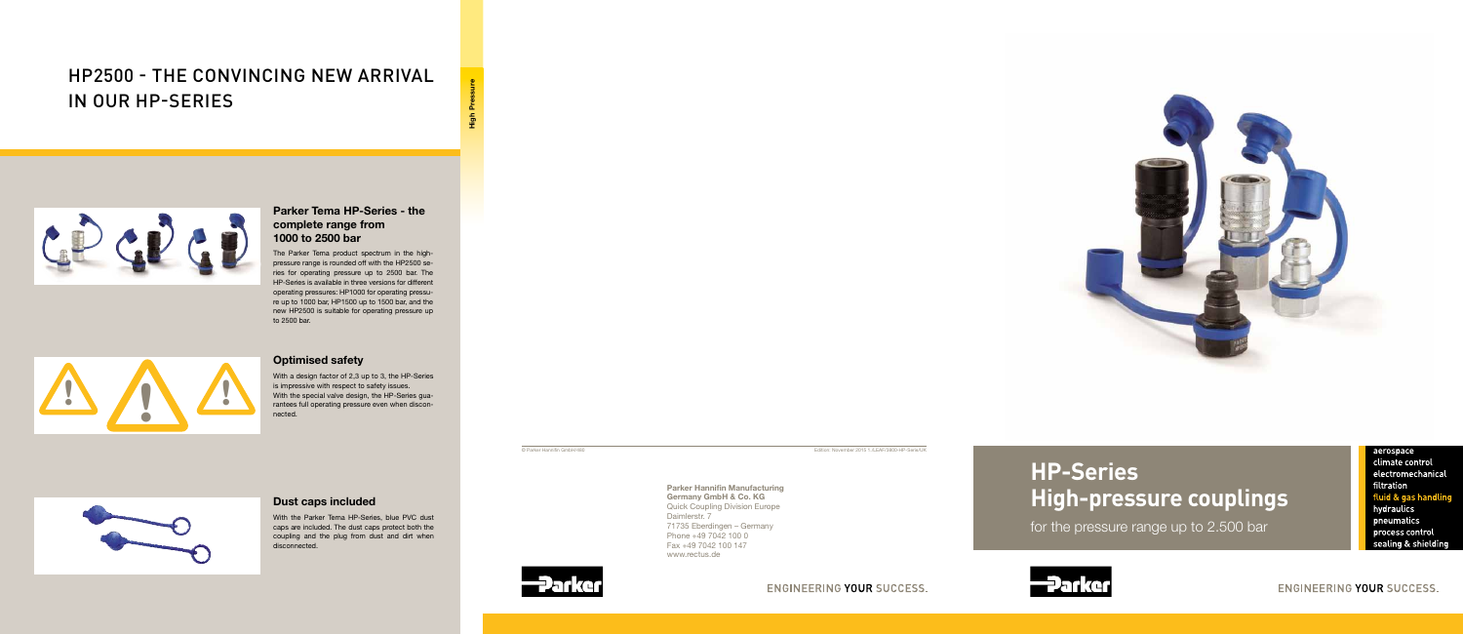

# **HP-Series High-pressure couplings**

for the pressure range up to 2.500 bar

aerospace

climate control electromechanical filtration fluid & gas handling hydraulics pneumatics process control sealing & shielding



ENGINEERING YOUR SUCCESS.



Parker Hannifin Manufacturing Germany GmbH & Co. KG Quick Coupling Division Europe Daimlerstr. 7 71735 Eberdingen – Germany Phone +49 7042 100 0 Fax +49 7042 100 147 www.rectus.de





© Parker Hannifin GmbH/480 Edition: November 2015 1./LEAF/3800-HP-Serie/UK

# ENGINEERING YOUR SUCCESS.





# Parker Tema HP-Series - the complete range from 1000 to 2500 bar

The Parker Tema product spectrum in the highpressure range is rounded off with the HP2500 series for operating pressure up to 2500 bar. The HP-Series is available in three versions for different operating pressures: HP1000 for operating pressure up to 1000 bar, HP1500 up to 1500 bar, and the new HP2500 is suitable for operating pressure up to 2500 bar.

## Optimised safety

With a design factor of 2,3 up to 3, the HP-Series is impressive with respect to safety issues. With the special valve design, the HP-Series guarantees full operating pressure even when disconnected.



## Dust caps included

With the Parker Tema HP-Series, blue PVC dust caps are included. The dust caps protect both the coupling and the plug from dust and dirt when disconnected.

# HP2500 - the convincing new arrival in our HP-series